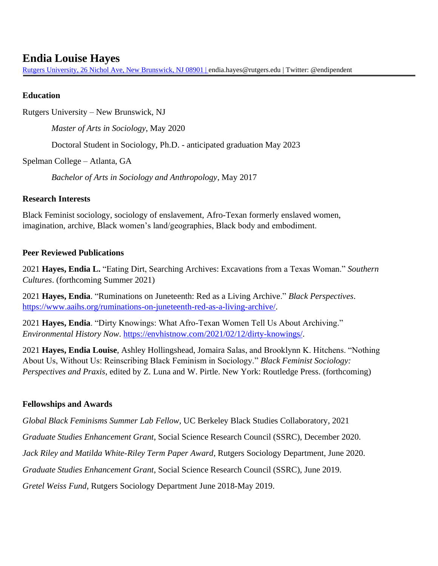# **Endia Louise Hayes**

[Rutgers University, 26 Nichol Ave, New Brunswick, NJ 08901 |](mailto:Rutgers%20University,%2026%20Nichol%20Ave,%20New%20Brunswick,%20NJ%2008901%20%7C) [endia.hayes@rutgers.edu](mailto:endia.hayes@rutgers.edu) | Twitter: @endipendent

## **Education**

Rutgers University – New Brunswick, NJ

*Master of Arts in Sociology*, May 2020

Doctoral Student in Sociology, Ph.D. - anticipated graduation May 2023

Spelman College – Atlanta, GA

*Bachelor of Arts in Sociology and Anthropology*, May 2017

## **Research Interests**

Black Feminist sociology, sociology of enslavement, Afro-Texan formerly enslaved women, imagination, archive, Black women's land/geographies, Black body and embodiment.

#### **Peer Reviewed Publications**

2021 **Hayes, Endia L.** "Eating Dirt, Searching Archives: Excavations from a Texas Woman." *Southern Cultures*. (forthcoming Summer 2021)

2021 **Hayes, Endia**. "Ruminations on Juneteenth: Red as a Living Archive." *Black Perspectives*. [https://www.aaihs.org/ruminations-on-juneteenth-red-as-a-living-archive/.](https://www.aaihs.org/ruminations-on-juneteenth-red-as-a-living-archive/)

2021 **Hayes, Endia**. "Dirty Knowings: What Afro-Texan Women Tell Us About Archiving." *Environmental History Now*. [https://envhistnow.com/2021/02/12/dirty-knowings/.](https://envhistnow.com/2021/02/12/dirty-knowings/)

2021 **Hayes, Endia Louise**, Ashley Hollingshead, Jomaira Salas, and Brooklynn K. Hitchens. "Nothing About Us, Without Us: Reinscribing Black Feminism in Sociology." *Black Feminist Sociology: Perspectives and Praxis*, edited by Z. Luna and W. Pirtle. New York: Routledge Press. (forthcoming)

## **Fellowships and Awards**

*Global Black Feminisms Summer Lab Fellow*, UC Berkeley Black Studies Collaboratory, 2021

*Graduate Studies Enhancement Grant*, Social Science Research Council (SSRC), December 2020.

*Jack Riley and Matilda White-Riley Term Paper Award*, Rutgers Sociology Department, June 2020.

*Graduate Studies Enhancement Grant*, Social Science Research Council (SSRC), June 2019.

*Gretel Weiss Fund*, Rutgers Sociology Department June 2018-May 2019.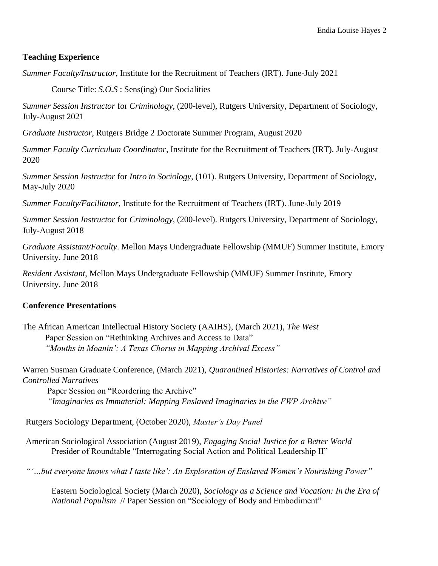## **Teaching Experience**

*Summer Faculty/Instructor*, Institute for the Recruitment of Teachers (IRT). June-July 2021

Course Title: *S.O.S* : Sens(ing) Our Socialities

*Summer Session Instructor* for *Criminology*, (200-level), Rutgers University, Department of Sociology, July-August 2021

*Graduate Instructor*, Rutgers Bridge 2 Doctorate Summer Program, August 2020

*Summer Faculty Curriculum Coordinator,* Institute for the Recruitment of Teachers (IRT). July-August 2020

*Summer Session Instructor* for *Intro to Sociology*, (101). Rutgers University, Department of Sociology, May-July 2020

*Summer Faculty/Facilitator*, Institute for the Recruitment of Teachers (IRT). June-July 2019

*Summer Session Instructor* for *Criminology*, (200-level). Rutgers University, Department of Sociology, July-August 2018

*Graduate Assistant/Faculty*. Mellon Mays Undergraduate Fellowship (MMUF) Summer Institute, Emory University. June 2018

*Resident Assistant*, Mellon Mays Undergraduate Fellowship (MMUF) Summer Institute, Emory University. June 2018

## **Conference Presentations**

The African American Intellectual History Society (AAIHS), (March 2021), *The West* Paper Session on "Rethinking Archives and Access to Data" *"Mouths in Moanin': A Texas Chorus in Mapping Archival Excess"*

Warren Susman Graduate Conference, (March 2021), *Quarantined Histories: Narratives of Control and Controlled Narratives*

 Paper Session on "Reordering the Archive"  *"Imaginaries as Immaterial: Mapping Enslaved Imaginaries in the FWP Archive"*

Rutgers Sociology Department, (October 2020), *Master's Day Panel*

American Sociological Association (August 2019), *Engaging Social Justice for a Better World* Presider of Roundtable "Interrogating Social Action and Political Leadership II"

*"'…but everyone knows what I taste like': An Exploration of Enslaved Women's Nourishing Power"*

Eastern Sociological Society (March 2020), *Sociology as a Science and Vocation: In the Era of National Populism* // Paper Session on "Sociology of Body and Embodiment"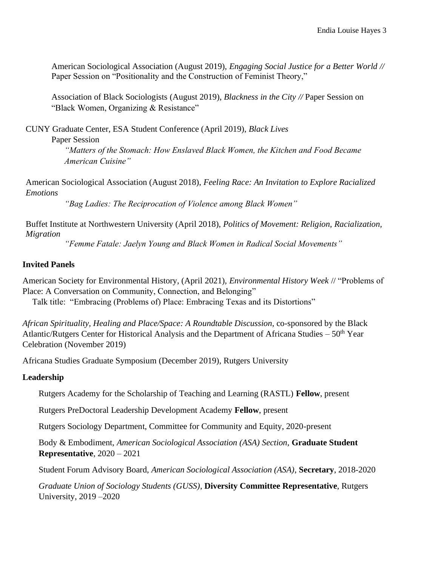American Sociological Association (August 2019), *Engaging Social Justice for a Better World //*  Paper Session on "Positionality and the Construction of Feminist Theory,"

Association of Black Sociologists (August 2019), *Blackness in the City //* Paper Session on "Black Women, Organizing & Resistance"

CUNY Graduate Center, ESA Student Conference (April 2019), *Black Lives* 

Paper Session

*"Matters of the Stomach: How Enslaved Black Women, the Kitchen and Food Became American Cuisine"*

American Sociological Association (August 2018), *Feeling Race: An Invitation to Explore Racialized Emotions*

*"Bag Ladies: The Reciprocation of Violence among Black Women"*

Buffet Institute at Northwestern University (April 2018), *Politics of Movement: Religion, Racialization, Migration*

*"Femme Fatale: Jaelyn Young and Black Women in Radical Social Movements"*

#### **Invited Panels**

American Society for Environmental History, (April 2021), *Environmental History Week* // "Problems of Place: A Conversation on Community, Connection, and Belonging"

Talk title: "Embracing (Problems of) Place: Embracing Texas and its Distortions"

*African Spirituality, Healing and Place/Space: A Roundtable Discussion*, co-sponsored by the Black Atlantic/Rutgers Center for Historical Analysis and the Department of Africana Studies –  $50<sup>th</sup>$  Year Celebration (November 2019)

Africana Studies Graduate Symposium (December 2019), Rutgers University

## **Leadership**

Rutgers Academy for the Scholarship of Teaching and Learning (RASTL) **Fellow**, present

Rutgers PreDoctoral Leadership Development Academy **Fellow**, present

Rutgers Sociology Department, Committee for Community and Equity, 2020-present

Body & Embodiment, *American Sociological Association (ASA) Section,* **Graduate Student Representative**, 2020 – 2021

Student Forum Advisory Board, *American Sociological Association (ASA)*, **Secretary**, 2018-2020

*Graduate Union of Sociology Students (GUSS)*, **Diversity Committee Representative**, Rutgers University, 2019 –2020